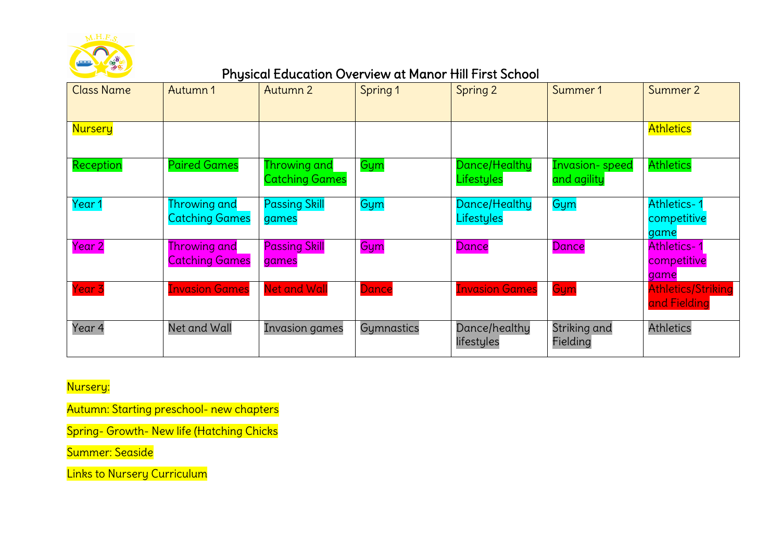

# Physical Education Overview at Manor Hill First School

| <b>Class Name</b> | Autumn 1                                     | Autumn 2                              | Spring 1   | Spring 2                    | Summer 1                             | Summer 2                                  |
|-------------------|----------------------------------------------|---------------------------------------|------------|-----------------------------|--------------------------------------|-------------------------------------------|
| <b>Nursery</b>    |                                              |                                       |            |                             |                                      | <b>Athletics</b>                          |
| Reception         | <b>Paired Games</b>                          | Throwing and<br><b>Catching Games</b> | Gym        | Dance/Healthy<br>Lifestyles | <b>Invasion-speed</b><br>and agility | <b>Athletics</b>                          |
| Year 1            | Throwing and<br><b>Catching Games</b>        | <b>Passing Skill</b><br>games         | Gym        | Dance/Healthy<br>Lifestyles | Gym                                  | Athletics-<br>competitive<br>game         |
| <b>Year 2</b>     | <b>Throwing and</b><br><b>Catching Games</b> | <b>Passing Skill</b><br>games         | Gym        | Dance                       | Dance                                | Athletics-<br>competitive<br>game         |
| <b>Year 3</b>     | <b>Invasion Games</b>                        | <b>Net and Wall</b>                   | Dance      | <b>Invasion Games</b>       | Gym                                  | <b>Athletics/Striking</b><br>and Fielding |
| Year 4            | Net and Wall                                 | Invasion games                        | Gymnastics | Dance/healthy<br>lifestyles | Striking and<br>Fielding             | <b>Athletics</b>                          |

Nursery:

Autumn: Starting preschool- new chapters

Spring- Growth- New life (Hatching Chicks

Summer: Seaside

Links to Nursery Curriculum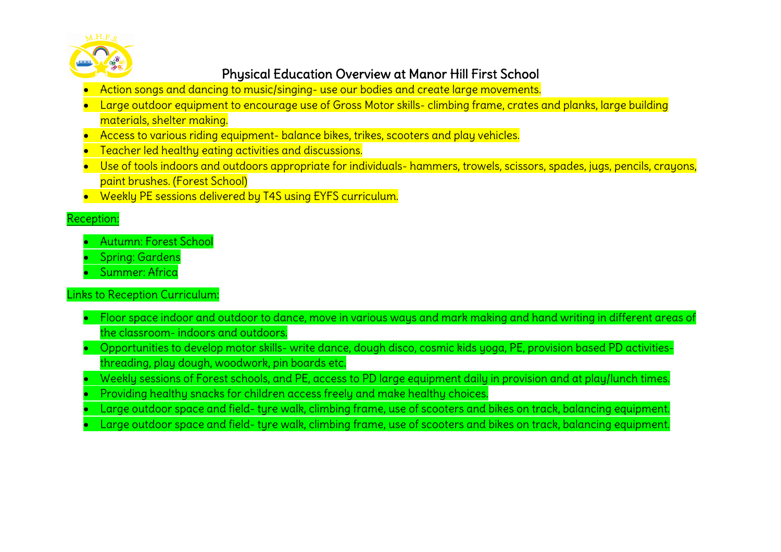

## Physical Education Overview at Manor Hill First School

- Action songs and dancing to music/singing- use our bodies and create large movements.
- Large outdoor equipment to encourage use of Gross Motor skills- climbing frame, crates and planks, large building materials, shelter making.
- Access to various riding equipment- balance bikes, trikes, scooters and play vehicles.
- Teacher led healthy eating activities and discussions.
- Use of tools indoors and outdoors appropriate for individuals- hammers, trowels, scissors, spades, jugs, pencils, crayons, paint brushes. (Forest School)
- Weekly PE sessions delivered by T4S using EYFS curriculum.

#### Reception:

- Autumn: Forest School
- Spring: Gardens
- Summer: Africa
- Links to Reception Curriculum:
	- Floor space indoor and outdoor to dance, move in various ways and mark making and hand writing in different areas of the classroom- indoors and outdoors.
	- Opportunities to develop motor skills- write dance, dough disco, cosmic kids yoga, PE, provision based PD activitiesthreading, play dough, woodwork, pin boards etc.
	- Weekly sessions of Forest schools, and PE, access to PD large equipment daily in provision and at play/lunch times. • Providing healthy snacks for children access freely and make healthy choices.
	- Large outdoor space and field- tyre walk, climbing frame, use of scooters and bikes on track, balancing equipment.
	- Large outdoor space and field- tyre walk, climbing frame, use of scooters and bikes on track, balancing equipment.